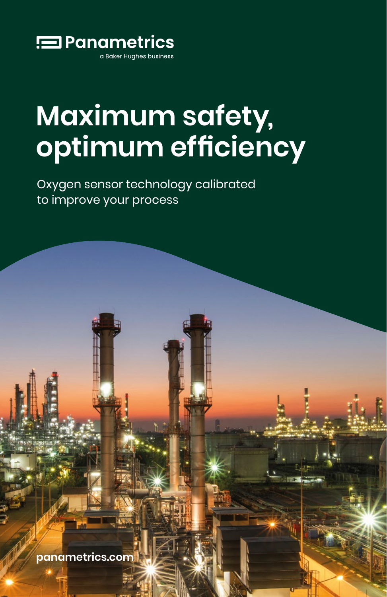

# **Maximum safety, optimum efficiency**

Oxygen sensor technology calibrated to improve your process

**panametrics.com**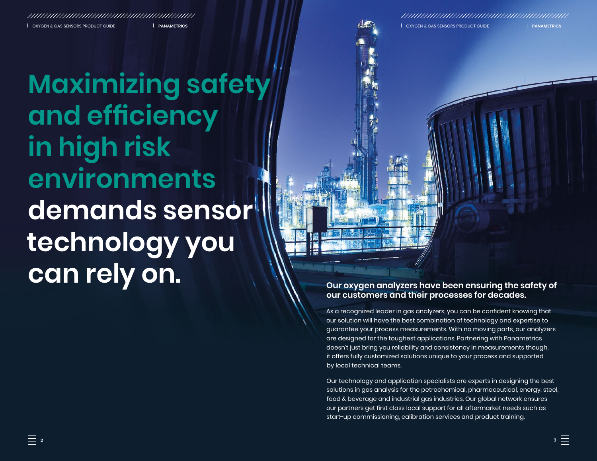OXYGEN & GAS SENSORS PRODUCT GUIDE **PANAMETRICS** OXYGEN & GAS SENSORS PRODUCT GUIDE **PANAMETRICS**

**Maximizing safety and efficiency in high risk environments demands sensor technology you can rely on.**

# **Our oxygen analyzers have been ensuring the safety of our customers and their processes for decades.**

As a recognized leader in gas analyzers, you can be confident knowing that our solution will have the best combination of technology and expertise to guarantee your process measurements. With no moving parts, our analyzers are designed for the toughest applications. Partnering with Panametrics doesn't just bring you reliability and consistency in measurements though, it offers fully customized solutions unique to your process and supported by local technical teams.

Our technology and application specialists are experts in designing the best solutions in gas analysis for the petrochemical, pharmaceutical, energy, steel, food & beverage and industrial gas industries. Our global network ensures our partners get first class local support for all aftermarket needs such as start-up commissioning, calibration services and product training.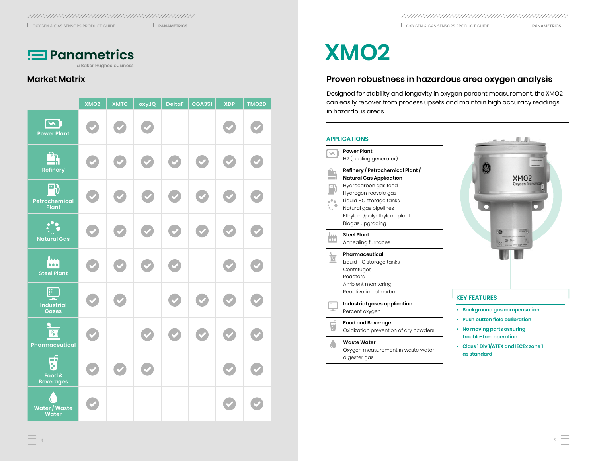

a Baker Hughes business

# **Market Matrix**

|                                                | XMO <sub>2</sub> | <b>XMTC</b> | oxy.IQ | <b>DeltaF</b> | CGA351               | <b>XDP</b>           | TMO <sub>2</sub> D |
|------------------------------------------------|------------------|-------------|--------|---------------|----------------------|----------------------|--------------------|
| $\boxed{\blacktriangle}$<br><b>Power Plant</b> |                  |             |        |               |                      |                      |                    |
| Ĥ<br>Refinery                                  |                  |             |        |               | $\blacktriangledown$ | $\blacktriangledown$ |                    |
| 吗)<br>Petrochemical<br>Plant                   |                  |             |        |               |                      |                      |                    |
| $\ddot{\cdot}$<br><b>Natural Gas</b>           |                  |             |        |               |                      | $\blacktriangledown$ |                    |
| <b>Axis</b><br><b>Steel Plant</b>              |                  |             |        |               |                      |                      |                    |
| ட்<br><b>Industrial</b><br><b>Gases</b>        |                  |             |        |               |                      |                      |                    |
| R<br>Pharmaceutical                            |                  |             |        |               |                      |                      |                    |
| <b>A</b><br>Food &<br><b>Beverages</b>         |                  |             |        |               |                      |                      |                    |
| Ĺ.<br>Water / Waste<br>Water                   |                  |             |        |               |                      |                      |                    |

OXYGEN & GAS SENSORS PRODUCT GUIDE **PANAMETRICS** OXYGEN & GAS SENSORS PRODUCT GUIDE **PANAMETRICS**

# **XMO2**

# **Proven robustness in hazardous area oxygen analysis**

Designed for stability and longevity in oxygen percent measurement, the XMO2 can easily recover from process upsets and maintain high accuracy readings in hazardous areas.

### **APPLICATIONS**

- **Power Plant** W H2 (cooling generator) ĥ **Refinery / Petrochemical Plant / Natural Gas Application** Hydrocarbon gas feed  $\mathbb{R}$ Hydrogen recycle gas Liquid HC storage tanks  $\frac{1}{2}$ Natural gas pipelines Ethylene/polyethylene plant Biogas upgrading **Steel Plant** m Annealing furnaces **Pharmaceutical**  $\frac{1}{\sqrt{2}}$ Liquid HC storage tanks
	- **Centrifuges** Reactors Ambient monitoring Reactivation of carbon

**Industrial gases application** Percent oxygen

**Food and Beverage** Ţ. Oxidization prevention of dry powders

#### **Waste Water**

Oxygen measurement in waste water digester gas



## **KEY FEATURES**

- **Background gas compensation**
- **• Push button field calibration**
- **No moving parts assuring trouble‑free operation**
- **Class 1 Div 1/ATEX and IECEx zone 1 as standard**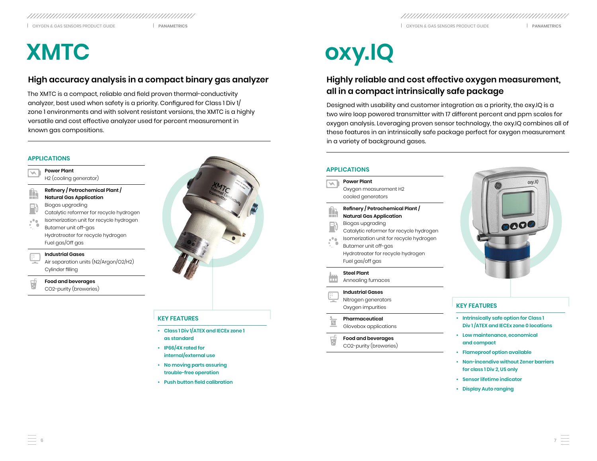OXYGEN & GAS SENSORS PRODUCT GUIDE **PANAMETRICS** OXYGEN & GAS SENSORS PRODUCT GUIDE **PANAMETRICS**

# **High accuracy analysis in a compact binary gas analyzer**

The XMTC is a compact, reliable and field proven thermal-conductivity analyzer, best used when safety is a priority. Configured for Class 1 Div 1/ zone 1 environments and with solvent resistant versions, the XMTC is a highly versatile and cost effective analyzer used for percent measurement in known gas compositions.

# **APPLICATIONS**

**Power Plant**  $\overline{\phantom{a}}$ H2 (cooling generator) **Refinery / Petrochemical Plant /**  Ĥ **Natural Gas Application** Biogas upgrading  $\blacksquare$ Catalytic reformer for recycle hydrogen Isomerization unit for recycle hydrogen  $e^0$  0 Butamer unit off-gas

Hydrotreater for recycle hydrogen Fuel gas/Off gas

### **Industrial Gases**

Air separation units (N2/Argon/O2/H2) Cylinder filling

### **Food and beverages**

CO2-purity (breweries)



# **KEY FEATURES**

- **Class 1 Div 1/ATEX and IECEx zone 1 as standard**
- **IP66/4X rated for internal/external use**
- **No moving parts assuring trouble-free operation**
- **• Push button field calibration**

# **XMTC oxy.IQ**

# **Highly reliable and cost effective oxygen measurement, all in a compact intrinsically safe package**

Designed with usability and customer integration as a priority, the oxy.IQ is a two wire loop powered transmitter with 17 different percent and ppm scales for oxygen analysis. Leveraging proven sensor technology, the oxy.IQ combines all of these features in an intrinsically safe package perfect for oxygen measurement in a variety of background gases.

# **APPLICATIONS**

 $\frac{1}{R}$ 

| <b>Power Plant</b>                                                                                                                                                                                                                                            |
|---------------------------------------------------------------------------------------------------------------------------------------------------------------------------------------------------------------------------------------------------------------|
| Oxygen measurement H2<br>cooled generators                                                                                                                                                                                                                    |
| Refinery / Petrochemical Plant /<br><b>Natural Gas Application</b><br>Biogas upgrading<br>Catalytic reformer for recycle hydrogen<br>Isomerization unit for recycle hydrogen<br>Butamer unit off-gas<br>Hydrotreater for recycle hydrogen<br>Fuel gas/off gas |
| <b>Steel Plant</b><br>Annealing furnaces                                                                                                                                                                                                                      |
| <b>Industrial Gases</b>                                                                                                                                                                                                                                       |

- **Pharmaceutical** Glovebox applications
- **Food and beverages** CO2-purity (breweries)



- **Intrinsically safe option for Class 1 Div 1 /ATEX and IECEx zone 0 locations**
- **Low maintenance, economical and compact**
- **Flameproof option available**
- **Non-incendive without Zener barriers for class 1 Div 2, US only**
- **Sensor lifetime indicator**
- **Display Auto ranging**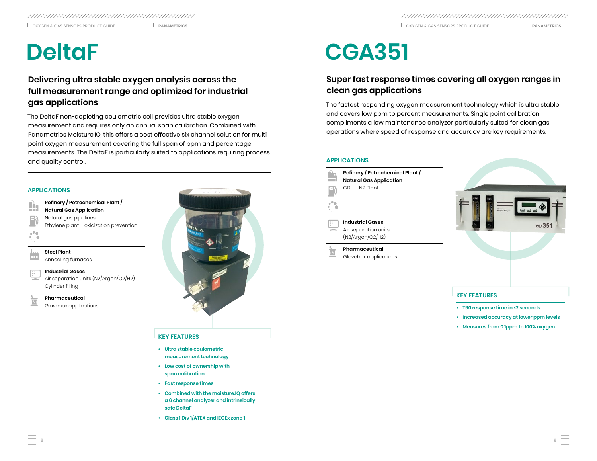# **Delivering ultra stable oxygen analysis across the full measurement range and optimized for industrial gas applications**

The DeltaF non-depleting coulometric cell provides ultra stable oxygen measurement and requires only an annual span calibration. Combined with Panametrics Moisture.IQ, this offers a cost effective six channel solution for multi point oxygen measurement covering the full span of ppm and percentage measurements. The DeltaF is particularly suited to applications requiring process and quality control.

### **APPLICATIONS**

**Refinery / Petrochemical Plant /**  Ĥ **Natural Gas Application** Natural gas pipelines Ethylene plant – oxidization prevention

**Steel Plant** Annealing furnaces

**Industrial Gases**

Air separation units (N2/Argon/O2/H2) Cylinder filling

**Pharmaceutical**

Glovebox applications



## **KEY FEATURES**

- **Ultra stable coulometric measurement technology**
- **Low cost of ownership with span calibration**
- **• Fast response times**
- **Combined with the moisture.IQ offers a 6 channel analyzer and intrinsically safe DeltaF**
- **Class 1 Div 1/ATEX and IECEx zone 1**

# **DeltaF CGA351**

# **Super fast response times covering all oxygen ranges in clean gas applications**

The fastest responding oxygen measurement technology which is ultra stable and covers low ppm to percent measurements. Single point calibration compliments a low maintenance analyzer particularly suited for clean gas operations where speed of response and accuracy are key requirements.

#### **APPLICATIONS**

**Refinery / Petrochemical Plant /**  ĥ **Natural Gas Application** CDU – N2 Plant

 $\blacksquare$ 

**Industrial Gases** Air separation units (N2/Argon/O2/H2)

**Pharmaceutical**  $\overline{\mathbb{R}}$ 

Glovebox applications



## **KEY FEATURES**

- **T90 response time in <2 seconds**
- **Increased accuracy at lower ppm levels**
- **Measures from 0.1ppm to 100% oxygen**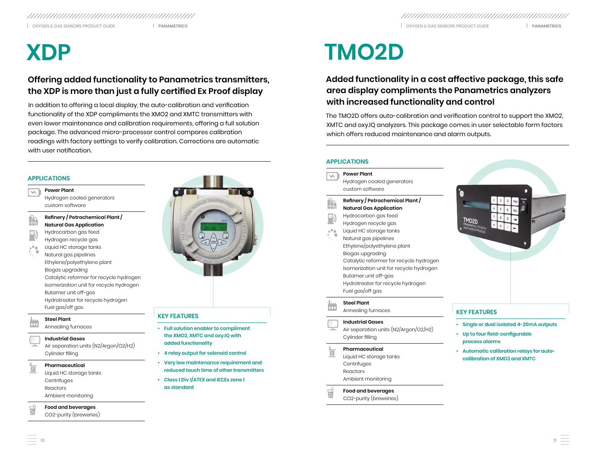# **Offering added functionality to Panametrics transmitters, the XDP is more than just a fully certified Ex Proof display**

In addition to offering a local display, the auto-calibration and verification functionality of the XDP compliments the XMO2 and XMTC transmitters with even lower maintenance and calibration requirements, offering a full solution package. The advanced micro-processor control compares calibration readings with factory settings to verify calibration. Corrections are automatic with user notification.

### **APPLICATIONS**

- **Power Plant** NA. Hydrogen cooled generators custom software
- **Refinery / Petrochemical Plant /**   $\mathbf{r}$ **Natural Gas Application** Hydrocarbon gas feed
- Hydrogen recycle gas  $n^{\alpha}$ 
	- Liquid HC storage tanks Natural gas pipelines Ethylene/polyethylene plant Biogas upgrading Catalytic reformer for recycle hydrogen Isomerization unit for recycle hydrogen Butamer unit off-gas Hydrotreater for recycle hydrogen Fuel gas/off gas
- **Steel Plant**

#### Annealing furnaces

- **Industrial Gases**
- Air separation units (N2/Argon/O2/H2) Cylinder filling
- **Pharmaceutical**  $\overline{R}$ 
	- Liquid HC storage tanks **Centrifuges** Reactors
		- Ambient monitoring
- **Food and beverages**

CO2-purity (breweries)



# **KEY FEATURES**

- **Full solution enabler to compliment the XMO2, XMTC and oxy.IQ with added functionality**
- **4 relay output for solenoid control**
- **Very low maintenance requirement and reduced touch time of other transmitters**
- **Class 1 Div 1/ATEX and IECEx zone 1 as standard**

# **XDP TMO2D**

# **Added functionality in a cost affective package, this safe area display compliments the Panametrics analyzers with increased functionality and control**

The TMO2D offers auto-calibration and verification control to support the XMO2, XMTC and oxy.IQ analyzers. This package comes in user selectable form factors which offers reduced maintenance and alarm outputs.

## **APPLICATIONS**

- **Power Plant**  $\overline{\vee}$ Hydrogen cooled generators custom software ĥ **Refinery / Petrochemical Plant / Natural Gas Application** Hydrocarbon gas feed  $\mathbb{P}$ Hydrogen recycle gas  $\mathbf{r}^{\mathbf{0}}$ Liquid HC storage tanks Natural gas pipelines
	- Ethylene/polyethylene plant Biogas upgrading Catalytic reformer for recycle hydrogen Isomerization unit for recycle hydrogen Butamer unit off-gas Hydrotreater for recycle hydrogen Fuel gas/off gas

**Steel Plant** Annealing furnaces

#### **Industrial Gases**

Air separation units (N2/Argon/O2/H2) Cylinder filling

#### **Pharmaceutical**  $\frac{1}{3}$

- Liquid HC storage tanks **Centrifuges** Reactors Ambient monitoring
- **Food and beverages**
- CO2-purity (breweries)

- **KEY FEATURES**
- **Single or dual isolated 4-20mA outputs**
- **• Up to four field-configurable process alarms**
- **Automatic calibration relays for autocalibration of XMO2 and XMTC**